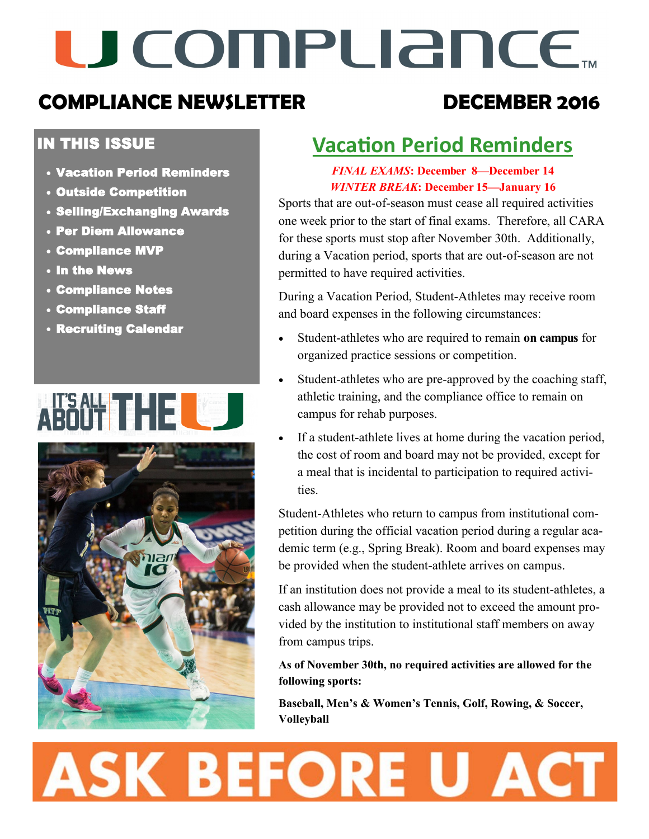# U COMPLIANCE.

### **COMPLIANCE NEWSLETTER DECEMBER 2016**

#### IN THIS ISSUE

- Vacation Period Reminders
- Outside Competition
- Selling/Exchanging Awards
- Per Diem Allowance
- Compliance MVP
- In the News
- Compliance Notes
- Compliance Staff
- Recruiting Calendar





### **Vacation Period Reminders**

#### *FINAL EXAMS***: December 8—December 14** *WINTER BREAK***: December 15—January 16**

Sports that are out-of-season must cease all required activities one week prior to the start of final exams. Therefore, all CARA for these sports must stop after November 30th. Additionally, during a Vacation period, sports that are out-of-season are not permitted to have required activities.

During a Vacation Period, Student-Athletes may receive room and board expenses in the following circumstances:

- Student-athletes who are required to remain **on campus** for organized practice sessions or competition.
- Student-athletes who are pre-approved by the coaching staff, athletic training, and the compliance office to remain on campus for rehab purposes.
- If a student-athlete lives at home during the vacation period, the cost of room and board may not be provided, except for a meal that is incidental to participation to required activities.

Student-Athletes who return to campus from institutional competition during the official vacation period during a regular academic term (e.g., Spring Break). Room and board expenses may be provided when the student-athlete arrives on campus.

If an institution does not provide a meal to its student-athletes, a cash allowance may be provided not to exceed the amount provided by the institution to institutional staff members on away from campus trips.

**As of November 30th, no required activities are allowed for the following sports:**

**Baseball, Men's & Women's Tennis, Golf, Rowing, & Soccer, Volleyball**

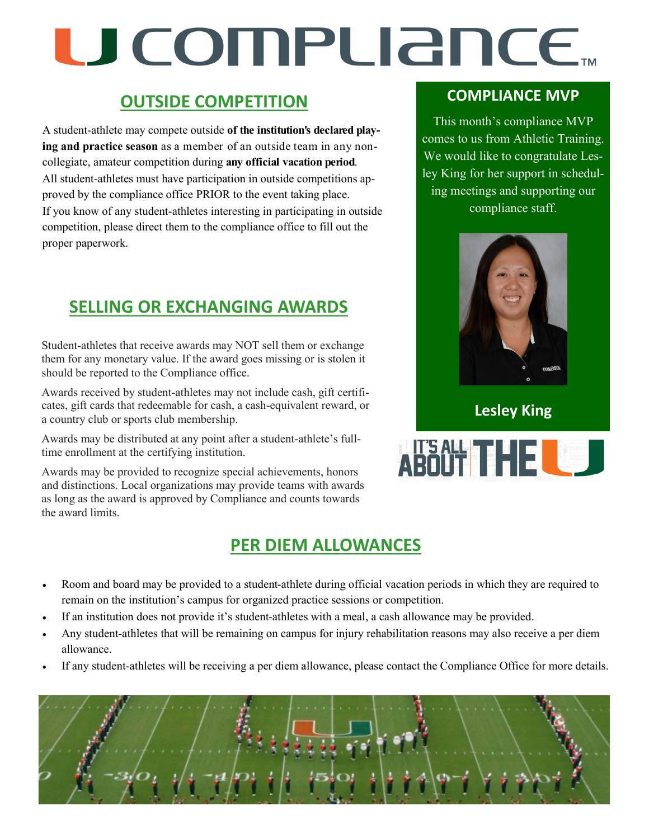# U COMPUANCE...

#### **OUTSIDE COMPETITION**

A student-athlete may compete outside **of the institution's declared playing and practice season** as a member of an outside team in any noncollegiate, amateur competition during **any official vacation period**. All student-athletes must have participation in outside competitions approved by the compliance office PRIOR to the event taking place. If you know of any student-athletes interesting in participating in outside competition, please direct them to the compliance office to fill out the proper paperwork.

### **SELLING OR EXCHANGING AWARDS**

Student-athletes that receive awards may NOT sell them or exchange them for any monetary value. If the award goes missing or is stolen it should be reported to the Compliance office.

Awards received by student-athletes may not include cash, gift certificates, gift cards that redeemable for cash, a cash-equivalent reward, or a country club or sports club membership.

Awards may be distributed at any point after a student-athlete's fulltime enrollment at the certifying institution.

Awards may be provided to recognize special achievements, honors and distinctions. Local organizations may provide teams with awards as long as the award is approved by Compliance and counts towards the award limits.

#### **PER DIEM ALLOWANCES**

#### **COMPLIANCE MVP**

This month's compliance MVP comes to us from Athletic Training. We would like to congratulate Lesley King for her support in scheduling meetings and supporting our compliance staff.



**Lesley King**



- Room and board may be provided to a student-athlete during official vacation periods in which they are required to remain on the institution's campus for organized practice sessions or competition.
- If an institution does not provide it's student-athletes with a meal, a cash allowance may be provided.
- Any student-athletes that will be remaining on campus for injury rehabilitation reasons may also receive a per diem allowance.
- If any student-athletes will be receiving a per diem allowance, please contact the Compliance Office for more details.

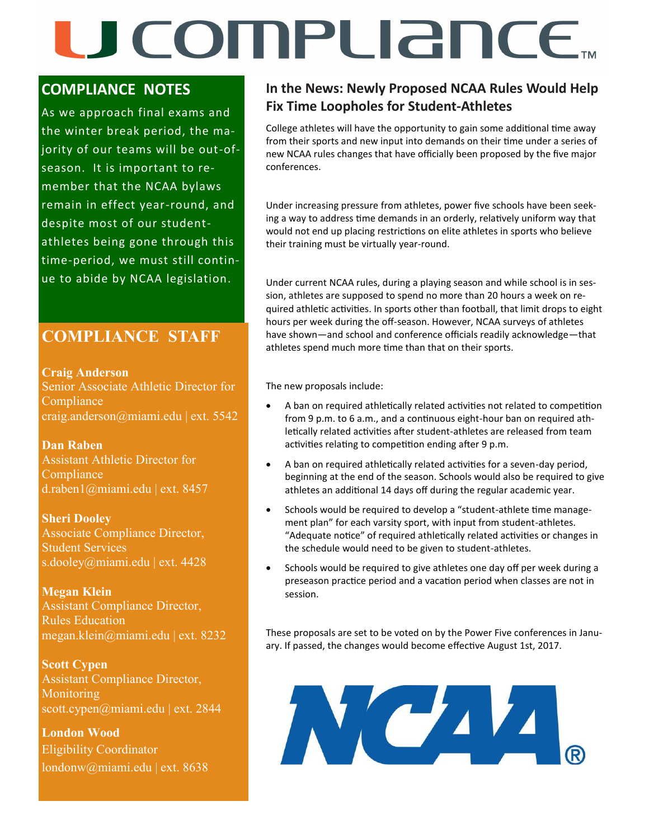### U COMPLIANCE.

#### **COMPLIANCE NOTES**

As we approach final exams and the winter break period, the majority of our teams will be out-ofseason. It is important to remember that the NCAA bylaws remain in effect year-round, and despite most of our studentathletes being gone through this time-period, we must still continue to abide by NCAA legislation.

#### **COMPLIANCE STAFF**

**Craig Anderson**  Senior Associate Athletic Director for **Compliance** craig.anderson@miami.edu | ext. 5542

**Dan Raben**  Assistant Athletic Director for **Compliance** d.raben1@miami.edu | ext. 8457

**Sheri Dooley** Associate Compliance Director, Student Services s.dooley@miami.edu | ext. 4428

**Megan Klein** Assistant Compliance Director, Rules Education megan.klein@miami.edu | ext. 8232

**Scott Cypen** Assistant Compliance Director, Monitoring scott.cypen@miami.edu | ext. 2844

**London Wood** Eligibility Coordinator londonw@miami.edu | ext. 8638

#### **In the News: Newly Proposed NCAA Rules Would Help Fix Time Loopholes for Student-Athletes**

College athletes will have the opportunity to gain some additional time away from their sports and new input into demands on their time under a series of new NCAA rules changes that have officially been proposed by the five major conferences.

Under increasing pressure from athletes, power five schools have been seeking a way to address time demands in an orderly, relatively uniform way that would not end up placing restrictions on elite athletes in sports who believe their training must be virtually year-round.

Under current NCAA rules, during a playing season and while school is in session, athletes are supposed to spend no more than 20 hours a week on required athletic activities. In sports other than football, that limit drops to eight hours per week during the off-season. However, NCAA surveys of athletes have shown—and school and conference officials readily acknowledge—that athletes spend much more time than that on their sports.

The new proposals include:

- A ban on required athletically related activities not related to competition from 9 p.m. to 6 a.m., and a continuous eight-hour ban on required athletically related activities after student-athletes are released from team activities relating to competition ending after 9 p.m.
- A ban on required athletically related activities for a seven-day period, beginning at the end of the season. Schools would also be required to give athletes an additional 14 days off during the regular academic year.
- Schools would be required to develop a "student-athlete time management plan" for each varsity sport, with input from student-athletes. "Adequate notice" of required athletically related activities or changes in the schedule would need to be given to student-athletes.
- Schools would be required to give athletes one day off per week during a preseason practice period and a vacation period when classes are not in session.

These proposals are set to be voted on by the Power Five conferences in January. If passed, the changes would become effective August 1st, 2017.